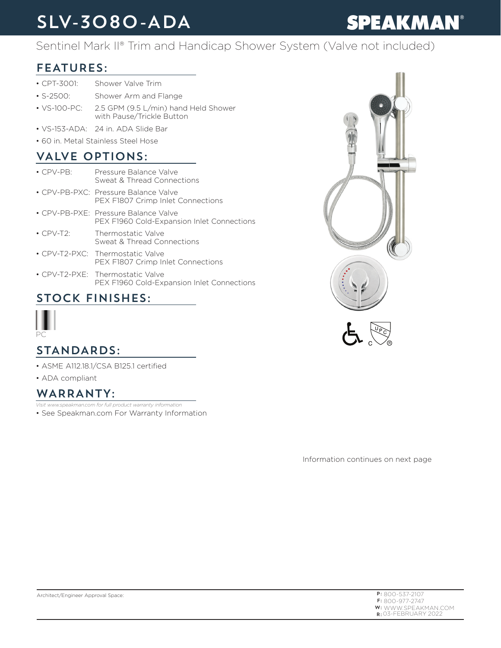# SLV-3080-ADA

# **SPEAKMAN®**

#### Sentinel Mark II® Trim and Handicap Shower System (Valve not included)

### FEATURES:

- CPT-3001: Shower Valve Trim
- S-2500: Shower Arm and Flange
- VS-100-PC: 2.5 GPM (9.5 L/min) hand Held Shower with Pause/Trickle Button
- VS-153-ADA: 24 in. ADA Slide Bar
- 60 in. Metal Stainless Steel Hose

### VALVE OPTIONS:

| $\cdot$ CPV-PB: | Pressure Balance Valve<br>Sweat & Thread Connections                               |
|-----------------|------------------------------------------------------------------------------------|
|                 | • CPV-PB-PXC: Pressure Balance Valve<br>PEX F1807 Crimp Inlet Connections          |
|                 | • CPV-PB-PXE: Pressure Balance Valve<br>PEX F1960 Cold-Expansion Inlet Connections |
| $\cdot$ CPV-T2: | Thermostatic Valve<br>Sweat & Thread Connections                                   |
|                 | • CPV-T2-PXC: Thermostatic Valve<br>PEX F1807 Crimp Inlet Connections              |
|                 |                                                                                    |

• CPV-T2-PXE: Thermostatic Valve PEX F1960 Cold-Expansion Inlet Connections

### STOCK FINISHES:



#### STANDARDS:

- ASME A112.18.1/CSA B125.1 certified
- ADA compliant

#### WARRANTY:

• See Speakman.com For Warranty Information *Visit www.speakman.com for full product warranty information*

Information continues on next page

| $P: 800 - 537 - 2107$      |
|----------------------------|
| $F: 800 - 977 - 2747$      |
| <b>W:</b> WWW.SPEAKMAN.COM |
| $R:$ 03-FEBRUARY 2022      |